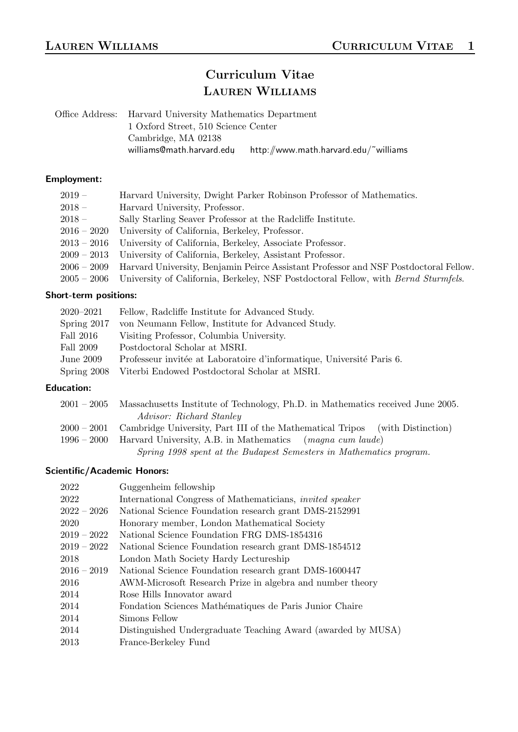# Curriculum Vitae LAUREN WILLIAMS

Office Address: Harvard University Mathematics Department 1 Oxford Street, 510 Science Center Cambridge, MA 02138 williams@math.harvard.edu, http://www.math.harvard.edu/˜williams

### Employment:

| Harvard University, Dwight Parker Robinson Professor of Mathematics.<br>$2019-$                           |  |
|-----------------------------------------------------------------------------------------------------------|--|
| Harvard University, Professor.<br>$2018 -$                                                                |  |
| Sally Starling Seaver Professor at the Radcliffe Institute.<br>$2018 -$                                   |  |
| University of California, Berkeley, Professor.<br>$2016 - 2020$                                           |  |
| University of California, Berkeley, Associate Professor.<br>$2013 - 2016$                                 |  |
| University of California, Berkeley, Assistant Professor.<br>$2009-2013$                                   |  |
| 2006 – 2009 Harvard University, Benjamin Peirce Assistant Professor and NSF Postdoctoral Fellow.          |  |
| University of California, Berkeley, NSF Postdoctoral Fellow, with <i>Bernd Sturmfels</i> .<br>$2005-2006$ |  |

# Short-term positions:

| $2020 - 2021$ | Fellow, Radcliffe Institute for Advanced Study.                       |
|---------------|-----------------------------------------------------------------------|
| Spring 2017   | von Neumann Fellow, Institute for Advanced Study.                     |
| Fall 2016     | Visiting Professor, Columbia University.                              |
| Fall 2009     | Postdoctoral Scholar at MSRI.                                         |
| June 2009     | Professeur invitée at Laboratoire d'informatique, Université Paris 6. |
|               | Spring 2008 Viterbi Endowed Postdoctoral Scholar at MSRI.             |

# Education:

| $2001-2005$ | Massachusetts Institute of Technology, Ph.D. in Mathematics received June 2005.          |
|-------------|------------------------------------------------------------------------------------------|
|             | Advisor: Richard Stanley                                                                 |
|             | 2000 – 2001 Cambridge University, Part III of the Mathematical Tripos (with Distinction) |
| $1996-2000$ | Harvard University, A.B. in Mathematics <i>(magna cum laude)</i>                         |
|             | Spring 1998 spent at the Budapest Semesters in Mathematics program.                      |

# Scientific/Academic Honors:

| 2022          | Guggenheim fellowship                                            |
|---------------|------------------------------------------------------------------|
| 2022          | International Congress of Mathematicians, <i>invited speaker</i> |
| $2022-2026$   | National Science Foundation research grant DMS-2152991           |
| 2020          | Honorary member, London Mathematical Society                     |
| $2019 - 2022$ | National Science Foundation FRG DMS-1854316                      |
| $2019 - 2022$ | National Science Foundation research grant DMS-1854512           |
| 2018          | London Math Society Hardy Lectureship                            |
| $2016 - 2019$ | National Science Foundation research grant DMS-1600447           |
| 2016          | AWM-Microsoft Research Prize in algebra and number theory        |
| 2014          | Rose Hills Innovator award                                       |
| 2014          | Fondation Sciences Mathématiques de Paris Junior Chaire          |
| 2014          | Simons Fellow                                                    |
| 2014          | Distinguished Undergraduate Teaching Award (awarded by MUSA)     |
| 2013          | France-Berkeley Fund                                             |
|               |                                                                  |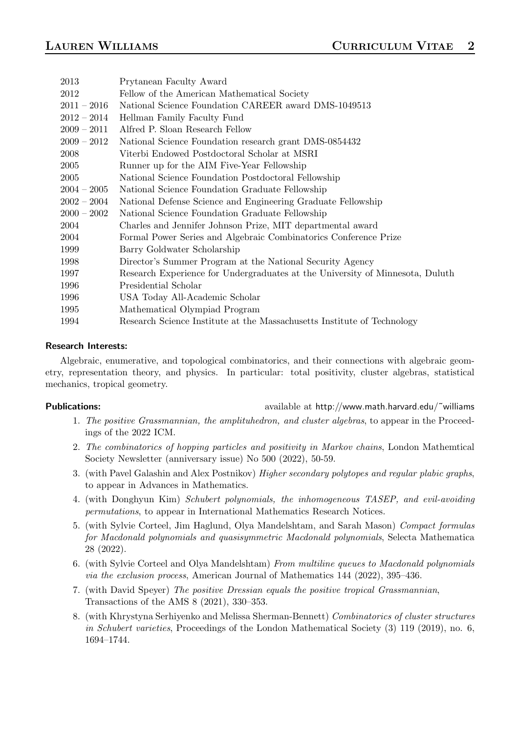| Prytanean Faculty Award                                                       |
|-------------------------------------------------------------------------------|
| Fellow of the American Mathematical Society                                   |
| National Science Foundation CAREER award DMS-1049513                          |
| Hellman Family Faculty Fund                                                   |
| Alfred P. Sloan Research Fellow                                               |
| National Science Foundation research grant DMS-0854432                        |
| Viterbi Endowed Postdoctoral Scholar at MSRI                                  |
| Runner up for the AIM Five-Year Fellowship                                    |
| National Science Foundation Postdoctoral Fellowship                           |
| National Science Foundation Graduate Fellowship                               |
| National Defense Science and Engineering Graduate Fellowship                  |
| National Science Foundation Graduate Fellowship                               |
| Charles and Jennifer Johnson Prize, MIT departmental award                    |
| Formal Power Series and Algebraic Combinatorics Conference Prize              |
| Barry Goldwater Scholarship                                                   |
| Director's Summer Program at the National Security Agency                     |
| Research Experience for Undergraduates at the University of Minnesota, Duluth |
| Presidential Scholar                                                          |
| USA Today All-Academic Scholar                                                |
| Mathematical Olympiad Program                                                 |
| Research Science Institute at the Massachusetts Institute of Technology       |
|                                                                               |

### Research Interests:

Algebraic, enumerative, and topological combinatorics, and their connections with algebraic geometry, representation theory, and physics. In particular: total positivity, cluster algebras, statistical mechanics, tropical geometry.

Publications: available at http://www.math.harvard.edu/~williams

- 1. The positive Grassmannian, the amplituhedron, and cluster algebras, to appear in the Proceedings of the 2022 ICM.
- 2. The combinatorics of hopping particles and positivity in Markov chains, London Mathemtical Society Newsletter (anniversary issue) No 500 (2022), 50-59.
- 3. (with Pavel Galashin and Alex Postnikov) Higher secondary polytopes and regular plabic graphs, to appear in Advances in Mathematics.
- 4. (with Donghyun Kim) Schubert polynomials, the inhomogeneous TASEP, and evil-avoiding permutations, to appear in International Mathematics Research Notices.
- 5. (with Sylvie Corteel, Jim Haglund, Olya Mandelshtam, and Sarah Mason) Compact formulas for Macdonald polynomials and quasisymmetric Macdonald polynomials, Selecta Mathematica 28 (2022).
- 6. (with Sylvie Corteel and Olya Mandelshtam) From multiline queues to Macdonald polynomials via the exclusion process, American Journal of Mathematics 144 (2022), 395–436.
- 7. (with David Speyer) The positive Dressian equals the positive tropical Grassmannian, Transactions of the AMS 8 (2021), 330–353.
- 8. (with Khrystyna Serhiyenko and Melissa Sherman-Bennett) Combinatorics of cluster structures in Schubert varieties, Proceedings of the London Mathematical Society (3) 119 (2019), no. 6, 1694–1744.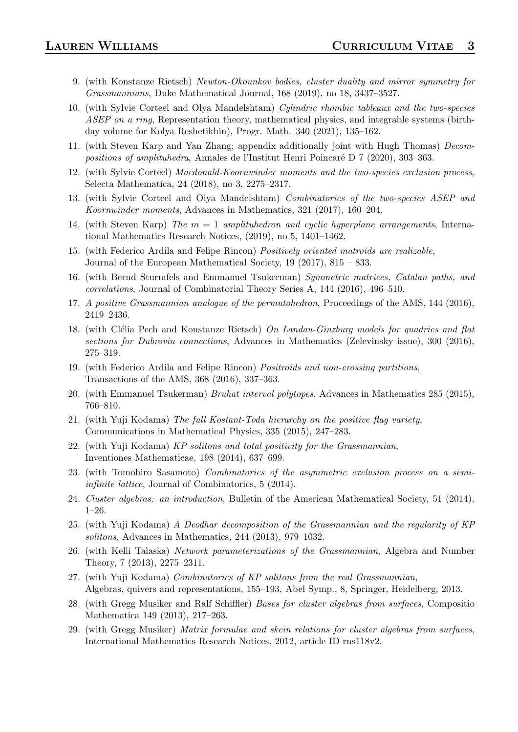- 9. (with Konstanze Rietsch) Newton-Okounkov bodies, cluster duality and mirror symmetry for Grassmannians, Duke Mathematical Journal, 168 (2019), no 18, 3437–3527.
- 10. (with Sylvie Corteel and Olya Mandelshtam) Cylindric rhombic tableaux and the two-species ASEP on a ring, Representation theory, mathematical physics, and integrable systems (birthday volume for Kolya Reshetikhin), Progr. Math. 340 (2021), 135–162.
- 11. (with Steven Karp and Yan Zhang; appendix additionally joint with Hugh Thomas) Decompositions of amplituhedra, Annales de l'Institut Henri Poincaré D 7 (2020), 303–363.
- 12. (with Sylvie Corteel) Macdonald-Koornwinder moments and the two-species exclusion process, Selecta Mathematica, 24 (2018), no 3, 2275–2317.
- 13. (with Sylvie Corteel and Olya Mandelshtam) Combinatorics of the two-species ASEP and Koornwinder moments, Advances in Mathematics, 321 (2017), 160–204.
- 14. (with Steven Karp) The  $m = 1$  amplituhedron and cyclic hyperplane arrangements, International Mathematics Research Notices, (2019), no 5, 1401–1462.
- 15. (with Federico Ardila and Felipe Rincon) Positively oriented matroids are realizable, Journal of the European Mathematical Society, 19 (2017), 815 – 833.
- 16. (with Bernd Sturmfels and Emmanuel Tsukerman) Symmetric matrices, Catalan paths, and correlations, Journal of Combinatorial Theory Series A, 144 (2016), 496–510.
- 17. A positive Grassmannian analogue of the permutohedron, Proceedings of the AMS, 144 (2016), 2419–2436.
- 18. (with Clélia Pech and Konstanze Rietsch) On Landau-Ginzburg models for quadrics and flat sections for Dubrovin connections, Advances in Mathematics (Zelevinsky issue), 300 (2016), 275–319.
- 19. (with Federico Ardila and Felipe Rincon) Positroids and non-crossing partitions, Transactions of the AMS, 368 (2016), 337–363.
- 20. (with Emmanuel Tsukerman) Bruhat interval polytopes, Advances in Mathematics 285 (2015), 766–810.
- 21. (with Yuji Kodama) The full Kostant-Toda hierarchy on the positive flag variety, Communications in Mathematical Physics, 335 (2015), 247–283.
- 22. (with Yuji Kodama) KP solitons and total positivity for the Grassmannian, Inventiones Mathematicae, 198 (2014), 637–699.
- 23. (with Tomohiro Sasamoto) Combinatorics of the asymmetric exclusion process on a semiinfinite lattice, Journal of Combinatorics, 5 (2014).
- 24. Cluster algebras: an introduction, Bulletin of the American Mathematical Society, 51 (2014), 1–26.
- 25. (with Yuji Kodama) A Deodhar decomposition of the Grassmannian and the regularity of KP solitons, Advances in Mathematics, 244 (2013), 979–1032.
- 26. (with Kelli Talaska) Network parameterizations of the Grassmannian, Algebra and Number Theory, 7 (2013), 2275–2311.
- 27. (with Yuji Kodama) Combinatorics of KP solitons from the real Grassmannian, Algebras, quivers and representations, 155–193, Abel Symp., 8, Springer, Heidelberg, 2013.
- 28. (with Gregg Musiker and Ralf Schiffler) Bases for cluster algebras from surfaces, Compositio Mathematica 149 (2013), 217–263.
- 29. (with Gregg Musiker) Matrix formulae and skein relations for cluster algebras from surfaces, International Mathematics Research Notices, 2012, article ID rns118v2.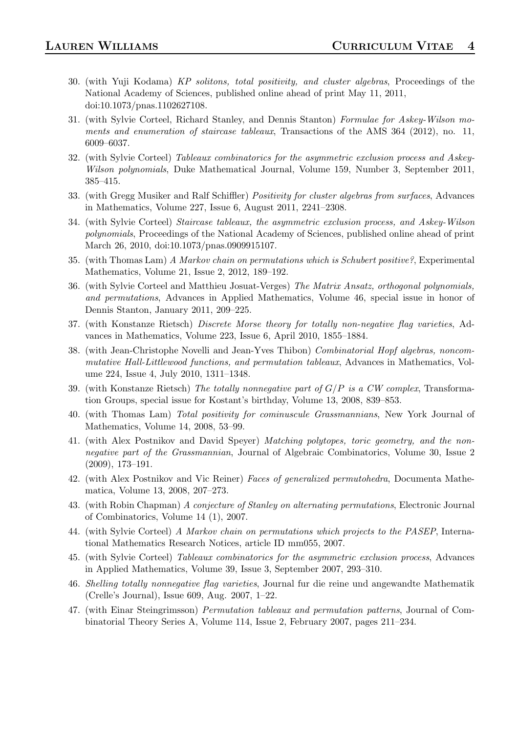- 30. (with Yuji Kodama) KP solitons, total positivity, and cluster algebras, Proceedings of the National Academy of Sciences, published online ahead of print May 11, 2011, doi:10.1073/pnas.1102627108.
- 31. (with Sylvie Corteel, Richard Stanley, and Dennis Stanton) Formulae for Askey-Wilson moments and enumeration of staircase tableaux, Transactions of the AMS 364 (2012), no. 11, 6009–6037.
- 32. (with Sylvie Corteel) Tableaux combinatorics for the asymmetric exclusion process and Askey-Wilson polynomials, Duke Mathematical Journal, Volume 159, Number 3, September 2011, 385–415.
- 33. (with Gregg Musiker and Ralf Schiffler) Positivity for cluster algebras from surfaces, Advances in Mathematics, Volume 227, Issue 6, August 2011, 2241–2308.
- 34. (with Sylvie Corteel) Staircase tableaux, the asymmetric exclusion process, and Askey-Wilson polynomials, Proceedings of the National Academy of Sciences, published online ahead of print March 26, 2010, doi:10.1073/pnas.0909915107.
- 35. (with Thomas Lam) A Markov chain on permutations which is Schubert positive?, Experimental Mathematics, Volume 21, Issue 2, 2012, 189–192.
- 36. (with Sylvie Corteel and Matthieu Josuat-Verges) The Matrix Ansatz, orthogonal polynomials, and permutations, Advances in Applied Mathematics, Volume 46, special issue in honor of Dennis Stanton, January 2011, 209–225.
- 37. (with Konstanze Rietsch) Discrete Morse theory for totally non-negative flag varieties, Advances in Mathematics, Volume 223, Issue 6, April 2010, 1855–1884.
- 38. (with Jean-Christophe Novelli and Jean-Yves Thibon) Combinatorial Hopf algebras, noncommutative Hall-Littlewood functions, and permutation tableaux, Advances in Mathematics, Volume 224, Issue 4, July 2010, 1311–1348.
- 39. (with Konstanze Rietsch) The totally nonnegative part of  $G/P$  is a CW complex, Transformation Groups, special issue for Kostant's birthday, Volume 13, 2008, 839–853.
- 40. (with Thomas Lam) Total positivity for cominuscule Grassmannians, New York Journal of Mathematics, Volume 14, 2008, 53–99.
- 41. (with Alex Postnikov and David Speyer) Matching polytopes, toric geometry, and the nonnegative part of the Grassmannian, Journal of Algebraic Combinatorics, Volume 30, Issue 2 (2009), 173–191.
- 42. (with Alex Postnikov and Vic Reiner) Faces of generalized permutohedra, Documenta Mathematica, Volume 13, 2008, 207–273.
- 43. (with Robin Chapman) A conjecture of Stanley on alternating permutations, Electronic Journal of Combinatorics, Volume 14 (1), 2007.
- 44. (with Sylvie Corteel) A Markov chain on permutations which projects to the PASEP, International Mathematics Research Notices, article ID mm055, 2007.
- 45. (with Sylvie Corteel) Tableaux combinatorics for the asymmetric exclusion process, Advances in Applied Mathematics, Volume 39, Issue 3, September 2007, 293–310.
- 46. Shelling totally nonnegative flag varieties, Journal fur die reine und angewandte Mathematik (Crelle's Journal), Issue 609, Aug. 2007, 1–22.
- 47. (with Einar Steingrimsson) Permutation tableaux and permutation patterns, Journal of Combinatorial Theory Series A, Volume 114, Issue 2, February 2007, pages 211–234.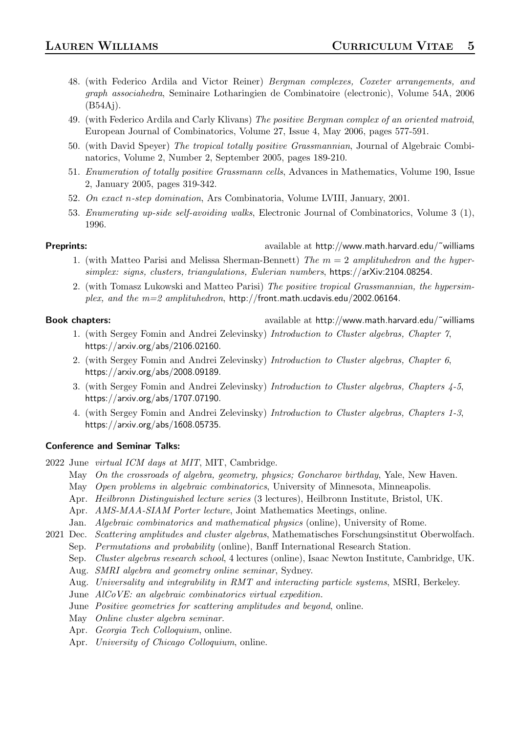- 48. (with Federico Ardila and Victor Reiner) Bergman complexes, Coxeter arrangements, and graph associahedra, Seminaire Lotharingien de Combinatoire (electronic), Volume 54A, 2006 (B54Aj).
- 49. (with Federico Ardila and Carly Klivans) The positive Bergman complex of an oriented matroid, European Journal of Combinatorics, Volume 27, Issue 4, May 2006, pages 577-591.
- 50. (with David Speyer) The tropical totally positive Grassmannian, Journal of Algebraic Combinatorics, Volume 2, Number 2, September 2005, pages 189-210.
- 51. Enumeration of totally positive Grassmann cells, Advances in Mathematics, Volume 190, Issue 2, January 2005, pages 319-342.
- 52. On exact n-step domination, Ars Combinatoria, Volume LVIII, January, 2001.
- 53. Enumerating up-side self-avoiding walks, Electronic Journal of Combinatorics, Volume 3 (1), 1996.

Preprints: available at http://www.math.harvard.edu/˜williams

- 1. (with Matteo Parisi and Melissa Sherman-Bennett) The  $m = 2$  amplituhedron and the hypersimplex: signs, clusters, triangulations, Eulerian numbers, https://arXiv:2104.08254.
- 2. (with Tomasz Lukowski and Matteo Parisi) The positive tropical Grassmannian, the hypersimplex, and the  $m=2$  amplituhedron, http://front.math.ucdavis.edu/2002.06164.

Book chapters:  $a$  available at http://www.math.harvard.edu/~williams

- 1. (with Sergey Fomin and Andrei Zelevinsky) Introduction to Cluster algebras, Chapter 7, https://arxiv.org/abs/2106.02160.
- 2. (with Sergey Fomin and Andrei Zelevinsky) Introduction to Cluster algebras, Chapter 6, https://arxiv.org/abs/2008.09189.
- 3. (with Sergey Fomin and Andrei Zelevinsky) Introduction to Cluster algebras, Chapters 4-5, https://arxiv.org/abs/1707.07190.
- 4. (with Sergey Fomin and Andrei Zelevinsky) Introduction to Cluster algebras, Chapters 1-3, https://arxiv.org/abs/1608.05735.

### Conference and Seminar Talks:

- 2022 June virtual ICM days at MIT, MIT, Cambridge.
	- May On the crossroads of algebra, geometry, physics; Goncharov birthday, Yale, New Haven.
	- May Open problems in algebraic combinatorics, University of Minnesota, Minneapolis.
	- Apr. Heilbronn Distinguished lecture series (3 lectures), Heilbronn Institute, Bristol, UK.
	- Apr. AMS-MAA-SIAM Porter lecture, Joint Mathematics Meetings, online.
	- Jan. Algebraic combinatorics and mathematical physics (online), University of Rome.

2021 Dec. Scattering amplitudes and cluster algebras, Mathematisches Forschungsinstitut Oberwolfach. Sep. Permutations and probability (online), Banff International Research Station.

- Sep. Cluster algebras research school, 4 lectures (online), Isaac Newton Institute, Cambridge, UK.
- Aug. SMRI algebra and geometry online seminar, Sydney.
- Aug. Universality and integrability in RMT and interacting particle systems, MSRI, Berkeley.
- June AlCoVE: an algebraic combinatorics virtual expedition.
- June Positive geometries for scattering amplitudes and beyond, online.
- May Online cluster algebra seminar.
- Apr. Georgia Tech Colloquium, online.
- Apr. University of Chicago Colloquium, online.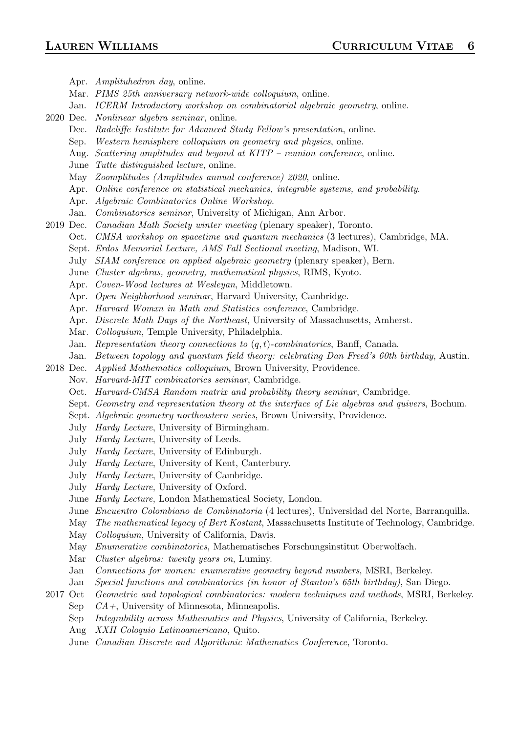Apr. Amplituhedron day, online. Mar. PIMS 25th anniversary network-wide colloquium, online. Jan. ICERM Introductory workshop on combinatorial algebraic geometry, online. 2020 Dec. Nonlinear algebra seminar, online. Dec. Radcliffe Institute for Advanced Study Fellow's presentation, online. Sep. Western hemisphere colloquium on geometry and physics, online. Aug. Scattering amplitudes and beyond at KITP – reunion conference, online. June Tutte distinguished lecture, online. May Zoomplitudes (Amplitudes annual conference) 2020, online. Apr. Online conference on statistical mechanics, integrable systems, and probability. Apr. Algebraic Combinatorics Online Workshop. Jan. Combinatorics seminar, University of Michigan, Ann Arbor. 2019 Dec. Canadian Math Society winter meeting (plenary speaker), Toronto. Oct. CMSA workshop on spacetime and quantum mechanics (3 lectures), Cambridge, MA. Sept. Erdos Memorial Lecture, AMS Fall Sectional meeting, Madison, WI. July SIAM conference on applied algebraic geometry (plenary speaker), Bern. June Cluster algebras, geometry, mathematical physics, RIMS, Kyoto. Apr. Coven-Wood lectures at Wesleyan, Middletown. Apr. Open Neighborhood seminar, Harvard University, Cambridge. Apr. Harvard Womxn in Math and Statistics conference, Cambridge. Apr. Discrete Math Days of the Northeast, University of Massachusetts, Amherst. Mar. Colloquium, Temple University, Philadelphia. Jan. Representation theory connections to  $(q, t)$ -combinatorics, Banff, Canada. Jan. Between topology and quantum field theory: celebrating Dan Freed's 60th birthday, Austin. 2018 Dec. Applied Mathematics colloquium, Brown University, Providence. Nov. Harvard-MIT combinatorics seminar, Cambridge. Oct. Harvard-CMSA Random matrix and probability theory seminar, Cambridge. Sept. Geometry and representation theory at the interface of Lie algebras and quivers, Bochum. Sept. Algebraic geometry northeastern series, Brown University, Providence. July Hardy Lecture, University of Birmingham. July Hardy Lecture, University of Leeds. July Hardy Lecture, University of Edinburgh. July Hardy Lecture, University of Kent, Canterbury. July Hardy Lecture, University of Cambridge. July Hardy Lecture, University of Oxford. June Hardy Lecture, London Mathematical Society, London. June Encuentro Colombiano de Combinatoria (4 lectures), Universidad del Norte, Barranquilla. May The mathematical legacy of Bert Kostant, Massachusetts Institute of Technology, Cambridge. May *Colloquium*, University of California, Davis. May Enumerative combinatorics, Mathematisches Forschungsinstitut Oberwolfach. Mar *Cluster algebras: twenty years on*, Luminy. Jan Connections for women: enumerative geometry beyond numbers, MSRI, Berkeley. Jan Special functions and combinatorics (in honor of Stanton's 65th birthday), San Diego. 2017 Oct Geometric and topological combinatorics: modern techniques and methods, MSRI, Berkeley.

- Sep  $CA+$ , University of Minnesota, Minneapolis.
	- Sep Integrability across Mathematics and Physics, University of California, Berkeley.
	- Aug XXII Coloquio Latinoamericano, Quito.
	- June Canadian Discrete and Algorithmic Mathematics Conference, Toronto.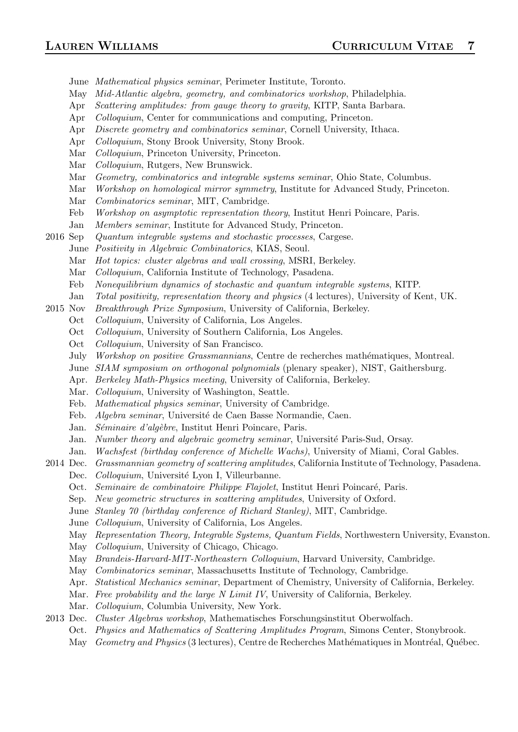- June Mathematical physics seminar, Perimeter Institute, Toronto.
- May Mid-Atlantic algebra, geometry, and combinatorics workshop, Philadelphia.
- Apr Scattering amplitudes: from gauge theory to gravity, KITP, Santa Barbara.
- Apr *Colloquium*, Center for communications and computing, Princeton.
- Apr Discrete geometry and combinatorics seminar, Cornell University, Ithaca.
- Apr Colloquium, Stony Brook University, Stony Brook.
- Mar Colloquium, Princeton University, Princeton.
- Mar Colloquium, Rutgers, New Brunswick.
- Mar Geometry, combinatorics and integrable systems seminar, Ohio State, Columbus.
- Mar Workshop on homological mirror symmetry, Institute for Advanced Study, Princeton.
- Mar Combinatorics seminar, MIT, Cambridge.
- Feb Workshop on asymptotic representation theory, Institut Henri Poincare, Paris.
- Jan Members seminar, Institute for Advanced Study, Princeton.
- 2016 Sep Quantum integrable systems and stochastic processes, Cargese.
	- June Positivity in Algebraic Combinatorics, KIAS, Seoul.
	- Mar Hot topics: cluster algebras and wall crossing, MSRI, Berkeley.
	- Mar Colloquium, California Institute of Technology, Pasadena.
	- Feb Nonequilibrium dynamics of stochastic and quantum integrable systems, KITP.
	- Jan Total positivity, representation theory and physics (4 lectures), University of Kent, UK.
- 2015 Nov Breakthrough Prize Symposium, University of California, Berkeley.
	- Oct Colloquium, University of California, Los Angeles.
	- Oct Colloquium, University of Southern California, Los Angeles.
	- Oct Colloquium, University of San Francisco.
	- July Workshop on positive Grassmannians, Centre de recherches mathématiques, Montreal.
	- June SIAM symposium on orthogonal polynomials (plenary speaker), NIST, Gaithersburg.
	- Apr. Berkeley Math-Physics meeting, University of California, Berkeley.
	- Mar. Colloquium, University of Washington, Seattle.
	- Feb. Mathematical physics seminar, University of Cambridge.
	- Feb. Algebra seminar, Université de Caen Basse Normandie, Caen.
	- Jan. Séminaire d'algèbre, Institut Henri Poincare, Paris.
	- Jan. Number theory and algebraic geometry seminar, Université Paris-Sud, Orsay.
	- Jan. Wachsfest (birthday conference of Michelle Wachs), University of Miami, Coral Gables.
- 2014 Dec. Grassmannian geometry of scattering amplitudes, California Institute of Technology, Pasadena.
	- Dec. *Colloquium*, Université Lyon I, Villeurbanne.
	- Oct. Seminaire de combinatoire Philippe Flajolet, Institut Henri Poincaré, Paris.
	- Sep. New geometric structures in scattering amplitudes, University of Oxford.
	- June Stanley 70 (birthday conference of Richard Stanley), MIT, Cambridge.
	- June Colloquium, University of California, Los Angeles.
	- May Representation Theory, Integrable Systems, Quantum Fields, Northwestern University, Evanston.
	- May Colloquium, University of Chicago, Chicago.
	- May Brandeis-Harvard-MIT-Northeastern Colloquium, Harvard University, Cambridge.
	- May Combinatorics seminar, Massachusetts Institute of Technology, Cambridge.
	- Apr. *Statistical Mechanics seminar*, Department of Chemistry, University of California, Berkeley.
	- Mar. *Free probability and the large N Limit IV*, University of California, Berkeley.
	- Mar. Colloquium, Columbia University, New York.
- 2013 Dec. Cluster Algebras workshop, Mathematisches Forschungsinstitut Oberwolfach.
	- Oct. Physics and Mathematics of Scattering Amplitudes Program, Simons Center, Stonybrook.
		- May Geometry and Physics (3 lectures), Centre de Recherches Mathématiques in Montréal, Québec.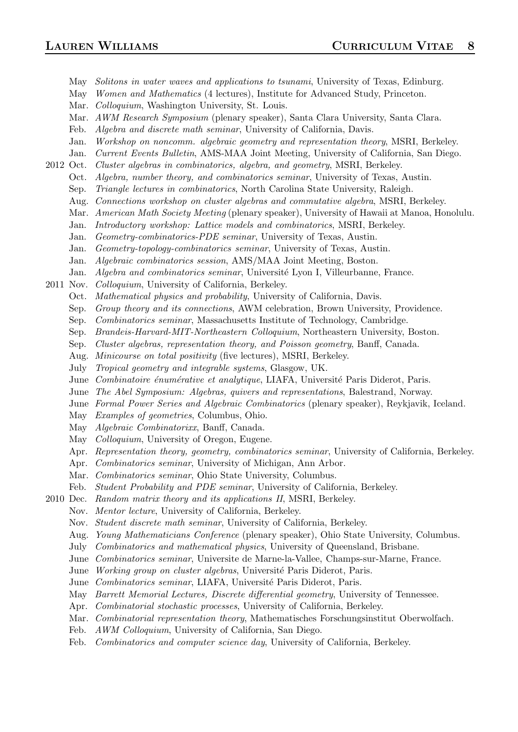- May Solitons in water waves and applications to tsunami, University of Texas, Edinburg. May Women and Mathematics (4 lectures), Institute for Advanced Study, Princeton.
- Mar. *Colloquium*, Washington University, St. Louis.
- Mar. AWM Research Symposium (plenary speaker), Santa Clara University, Santa Clara.
- Feb. Algebra and discrete math seminar, University of California, Davis.
- Jan. Workshop on noncomm. algebraic geometry and representation theory, MSRI, Berkeley.
- Jan. Current Events Bulletin, AMS-MAA Joint Meeting, University of California, San Diego.
- 2012 Oct. Cluster algebras in combinatorics, algebra, and geometry, MSRI, Berkeley.
	- Oct. Algebra, number theory, and combinatorics seminar, University of Texas, Austin.
	- Sep. Triangle lectures in combinatorics, North Carolina State University, Raleigh.
	- Aug. Connections workshop on cluster algebras and commutative algebra, MSRI, Berkeley.
	- Mar. American Math Society Meeting (plenary speaker), University of Hawaii at Manoa, Honolulu.
	- Jan. Introductory workshop: Lattice models and combinatorics, MSRI, Berkeley.
	- Jan. Geometry-combinatorics-PDE seminar, University of Texas, Austin.
	- Jan. Geometry-topology-combinatorics seminar, University of Texas, Austin.
	- Jan. Algebraic combinatorics session, AMS/MAA Joint Meeting, Boston.
	- Jan. Algebra and combinatorics seminar, Université Lyon I, Villeurbanne, France.
- 2011 Nov. Colloquium, University of California, Berkeley.
	- Oct. Mathematical physics and probability, University of California, Davis.
	- Sep. Group theory and its connections, AWM celebration, Brown University, Providence.
	- Sep. Combinatorics seminar, Massachusetts Institute of Technology, Cambridge.
	- Sep. Brandeis-Harvard-MIT-Northeastern Colloquium, Northeastern University, Boston.
	- Sep. Cluster algebras, representation theory, and Poisson geometry, Banff, Canada.
	- Aug. Minicourse on total positivity (five lectures), MSRI, Berkeley.
	- July Tropical geometry and integrable systems, Glasgow, UK.
	- June Combinatoire énumérative et analytique, LIAFA, Université Paris Diderot, Paris.
	- June The Abel Symposium: Algebras, quivers and representations, Balestrand, Norway.
	- June Formal Power Series and Algebraic Combinatorics (plenary speaker), Reykjavik, Iceland.
	- May Examples of geometries, Columbus, Ohio.
	- May Algebraic Combinatorixx, Banff, Canada.
	- May *Colloquium*, University of Oregon, Eugene.
	- Apr. Representation theory, geometry, combinatorics seminar, University of California, Berkeley.
	- Apr. Combinatorics seminar, University of Michigan, Ann Arbor.
	- Mar. *Combinatorics seminar*, Ohio State University, Columbus.
	- Feb. Student Probability and PDE seminar, University of California, Berkeley.
- 2010 Dec. Random matrix theory and its applications II, MSRI, Berkeley.
	- Nov. Mentor lecture, University of California, Berkeley.
	- Nov. Student discrete math seminar, University of California, Berkeley.
	- Aug. Young Mathematicians Conference (plenary speaker), Ohio State University, Columbus.
	- July Combinatorics and mathematical physics, University of Queensland, Brisbane.
	- June Combinatorics seminar, Universite de Marne-la-Vallee, Champs-sur-Marne, France.
	- June Working group on cluster algebras, Université Paris Diderot, Paris.
	- June Combinatorics seminar, LIAFA, Université Paris Diderot, Paris.
	- May *Barrett Memorial Lectures, Discrete differential geometry*, University of Tennessee.
	- Apr. Combinatorial stochastic processes, University of California, Berkeley.
	- Mar. Combinatorial representation theory, Mathematisches Forschungsinstitut Oberwolfach.
	- Feb. AWM Colloquium, University of California, San Diego.
	- Feb. Combinatorics and computer science day, University of California, Berkeley.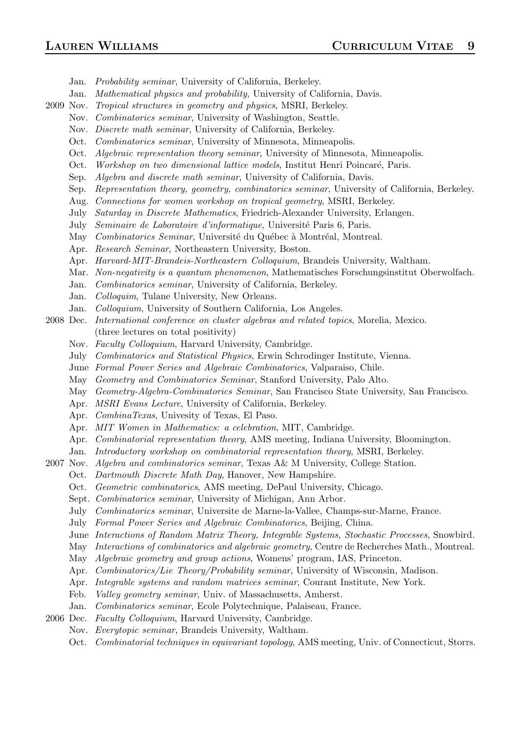Jan. Probability seminar, University of California, Berkeley.

- Jan. Mathematical physics and probability, University of California, Davis.
- 2009 Nov. Tropical structures in geometry and physics, MSRI, Berkeley.
	- Nov. Combinatorics seminar, University of Washington, Seattle.
	- Nov. Discrete math seminar, University of California, Berkeley.
	- Oct. Combinatorics seminar, University of Minnesota, Minneapolis.
	- Oct. Algebraic representation theory seminar, University of Minnesota, Minneapolis.
	- Oct. Workshop on two dimensional lattice models, Institut Henri Poincaré, Paris.
	- Sep. Algebra and discrete math seminar, University of California, Davis.
	- Sep. Representation theory, geometry, combinatorics seminar, University of California, Berkeley.
	- Aug. Connections for women workshop on tropical geometry, MSRI, Berkeley.
	- July Saturday in Discrete Mathematics, Friedrich-Alexander University, Erlangen.
	- July Seminaire de Laboratoire d'informatique, Université Paris 6, Paris.
	- May Combinatorics Seminar, Université du Québec à Montréal, Montreal.
	- Apr. Research Seminar, Northeastern University, Boston.
	- Apr. Harvard-MIT-Brandeis-Northeastern Colloquium, Brandeis University, Waltham.
	- Mar. Non-negativity is a quantum phenomenon, Mathematisches Forschungsinstitut Oberwolfach.
	- Jan. Combinatorics seminar, University of California, Berkeley.
	- Jan. Colloquim, Tulane University, New Orleans.
	- Jan. Colloquium, University of Southern California, Los Angeles.
- 2008 Dec. International conference on cluster algebras and related topics, Morelia, Mexico. (three lectures on total positivity)
	- Nov. Faculty Colloquium, Harvard University, Cambridge.
	- July Combinatorics and Statistical Physics, Erwin Schrodinger Institute, Vienna.
	- June Formal Power Series and Algebraic Combinatorics, Valparaiso, Chile.
	- May Geometry and Combinatorics Seminar, Stanford University, Palo Alto.
	- May Geometry-Algebra-Combinatorics Seminar, San Francisco State University, San Francisco.
	- Apr. MSRI Evans Lecture, University of California, Berkeley.
	- Apr. CombinaTexas, Univesity of Texas, El Paso.
	- Apr. MIT Women in Mathematics: a celebration, MIT, Cambridge.
	- Apr. Combinatorial representation theory, AMS meeting, Indiana University, Bloomington.
	- Jan. Introductory workshop on combinatorial representation theory, MSRI, Berkeley.
- 2007 Nov. Algebra and combinatorics seminar, Texas A& M University, College Station.
	- Oct. Dartmouth Discrete Math Day, Hanover, New Hampshire.
		- Oct. Geometric combinatorics, AMS meeting, DePaul University, Chicago.
		- Sept. Combinatorics seminar, University of Michigan, Ann Arbor.
		- July Combinatorics seminar, Universite de Marne-la-Vallee, Champs-sur-Marne, France.
		- July Formal Power Series and Algebraic Combinatorics, Beijing, China.
		- June Interactions of Random Matrix Theory, Integrable Systems, Stochastic Processes, Snowbird.
		- May Interactions of combinatorics and algebraic geometry, Centre de Recherches Math., Montreal.
		- May *Algebraic geometry and group actions*, Womens' program, IAS, Princeton.
		- Apr. Combinatorics/Lie Theory/Probability seminar, University of Wisconsin, Madison.
		- Apr. Integrable systems and random matrices seminar, Courant Institute, New York.
		- Feb. *Valley geometry seminar*, Univ. of Massachusetts, Amherst.
	- Jan. Combinatorics seminar, Ecole Polytechnique, Palaiseau, France.
- 2006 Dec. Faculty Colloquium, Harvard University, Cambridge.
	- Nov. Everytopic seminar, Brandeis University, Waltham.
		- Oct. Combinatorial techniques in equivariant topology, AMS meeting, Univ. of Connecticut, Storrs.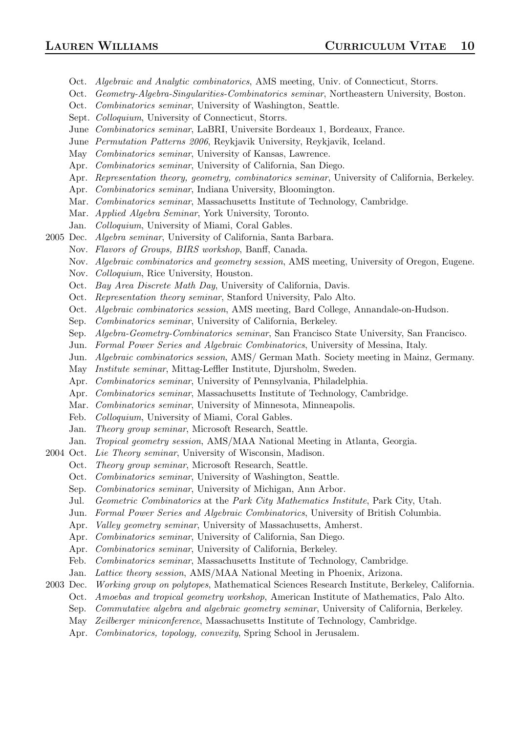- Oct. Algebraic and Analytic combinatorics, AMS meeting, Univ. of Connecticut, Storrs.
- Oct. Geometry-Algebra-Singularities-Combinatorics seminar, Northeastern University, Boston.
- Oct. Combinatorics seminar, University of Washington, Seattle.
- Sept. Colloquium, University of Connecticut, Storrs.
- June Combinatorics seminar, LaBRI, Universite Bordeaux 1, Bordeaux, France.
- June Permutation Patterns 2006, Reykjavik University, Reykjavik, Iceland.
- May Combinatorics seminar, University of Kansas, Lawrence.
- Apr. Combinatorics seminar, University of California, San Diego.
- Apr. Representation theory, geometry, combinatorics seminar, University of California, Berkeley.
- Apr. Combinatorics seminar, Indiana University, Bloomington.
- Mar. Combinatorics seminar, Massachusetts Institute of Technology, Cambridge.
- Mar. Applied Algebra Seminar, York University, Toronto.
- Jan. Colloquium, University of Miami, Coral Gables.
- 2005 Dec. Algebra seminar, University of California, Santa Barbara.
	- Nov. Flavors of Groups, BIRS workshop, Banff, Canada.
	- Nov. Algebraic combinatorics and geometry session, AMS meeting, University of Oregon, Eugene.
	- Nov. Colloquium, Rice University, Houston.
	- Oct. Bay Area Discrete Math Day, University of California, Davis.
	- Oct. Representation theory seminar, Stanford University, Palo Alto.
	- Oct. Algebraic combinatorics session, AMS meeting, Bard College, Annandale-on-Hudson.
	- Sep. Combinatorics seminar, University of California, Berkeley.
	- Sep. Algebra-Geometry-Combinatorics seminar, San Francisco State University, San Francisco.
	- Jun. Formal Power Series and Algebraic Combinatorics, University of Messina, Italy.
	- Jun. Algebraic combinatorics session, AMS/ German Math. Society meeting in Mainz, Germany.
	- May Institute seminar, Mittag-Leffler Institute, Djursholm, Sweden.
	- Apr. Combinatorics seminar, University of Pennsylvania, Philadelphia.
	- Apr. Combinatorics seminar, Massachusetts Institute of Technology, Cambridge.
	- Mar. Combinatorics seminar, University of Minnesota, Minneapolis.
	- Feb. Colloquium, University of Miami, Coral Gables.
	- Jan. Theory group seminar, Microsoft Research, Seattle.
	- Jan. Tropical geometry session, AMS/MAA National Meeting in Atlanta, Georgia.
- 2004 Oct. Lie Theory seminar, University of Wisconsin, Madison.
	- Oct. Theory group seminar, Microsoft Research, Seattle.
	- Oct. Combinatorics seminar, University of Washington, Seattle.
	- Sep. Combinatorics seminar, University of Michigan, Ann Arbor.
	- Jul. Geometric Combinatorics at the Park City Mathematics Institute, Park City, Utah.
	- Jun. Formal Power Series and Algebraic Combinatorics, University of British Columbia.
	- Apr. *Valley geometry seminar*, University of Massachusetts, Amherst.
	- Apr. Combinatorics seminar, University of California, San Diego.
	- Apr. Combinatorics seminar, University of California, Berkeley.
	- Feb. Combinatorics seminar, Massachusetts Institute of Technology, Cambridge.
	- Jan. Lattice theory session, AMS/MAA National Meeting in Phoenix, Arizona.
- 2003 Dec. Working group on polytopes, Mathematical Sciences Research Institute, Berkeley, California.
	- Oct. Amoebas and tropical geometry workshop, American Institute of Mathematics, Palo Alto.
	- Sep. Commutative algebra and algebraic geometry seminar, University of California, Berkeley.
	- May Zeilberger miniconference, Massachusetts Institute of Technology, Cambridge.
	- Apr. Combinatorics, topology, convexity, Spring School in Jerusalem.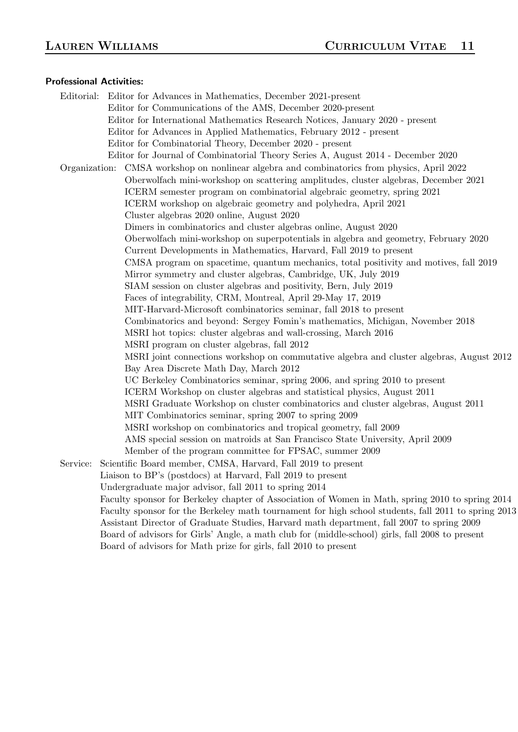### Professional Activities:

Editorial: Editor for Advances in Mathematics, December 2021-present Editor for Communications of the AMS, December 2020-present Editor for International Mathematics Research Notices, January 2020 - present Editor for Advances in Applied Mathematics, February 2012 - present Editor for Combinatorial Theory, December 2020 - present Editor for Journal of Combinatorial Theory Series A, August 2014 - December 2020 Organization: CMSA workshop on nonlinear algebra and combinatorics from physics, April 2022 Oberwolfach mini-workshop on scattering amplitudes, cluster algebras, December 2021 ICERM semester program on combinatorial algebraic geometry, spring 2021 ICERM workshop on algebraic geometry and polyhedra, April 2021 Cluster algebras 2020 online, August 2020 Dimers in combinatorics and cluster algebras online, August 2020 Oberwolfach mini-workshop on superpotentials in algebra and geometry, February 2020 Current Developments in Mathematics, Harvard, Fall 2019 to present CMSA program on spacetime, quantum mechanics, total positivity and motives, fall 2019 Mirror symmetry and cluster algebras, Cambridge, UK, July 2019 SIAM session on cluster algebras and positivity, Bern, July 2019 Faces of integrability, CRM, Montreal, April 29-May 17, 2019 MIT-Harvard-Microsoft combinatorics seminar, fall 2018 to present Combinatorics and beyond: Sergey Fomin's mathematics, Michigan, November 2018 MSRI hot topics: cluster algebras and wall-crossing, March 2016 MSRI program on cluster algebras, fall 2012 MSRI joint connections workshop on commutative algebra and cluster algebras, August 2012 Bay Area Discrete Math Day, March 2012 UC Berkeley Combinatorics seminar, spring 2006, and spring 2010 to present ICERM Workshop on cluster algebras and statistical physics, August 2011 MSRI Graduate Workshop on cluster combinatorics and cluster algebras, August 2011 MIT Combinatorics seminar, spring 2007 to spring 2009 MSRI workshop on combinatorics and tropical geometry, fall 2009 AMS special session on matroids at San Francisco State University, April 2009 Member of the program committee for FPSAC, summer 2009 Service: Scientific Board member, CMSA, Harvard, Fall 2019 to present Liaison to BP's (postdocs) at Harvard, Fall 2019 to present Undergraduate major advisor, fall 2011 to spring 2014 Faculty sponsor for Berkeley chapter of Association of Women in Math, spring 2010 to spring 2014 Faculty sponsor for the Berkeley math tournament for high school students, fall 2011 to spring 2013 Assistant Director of Graduate Studies, Harvard math department, fall 2007 to spring 2009 Board of advisors for Girls' Angle, a math club for (middle-school) girls, fall 2008 to present Board of advisors for Math prize for girls, fall 2010 to present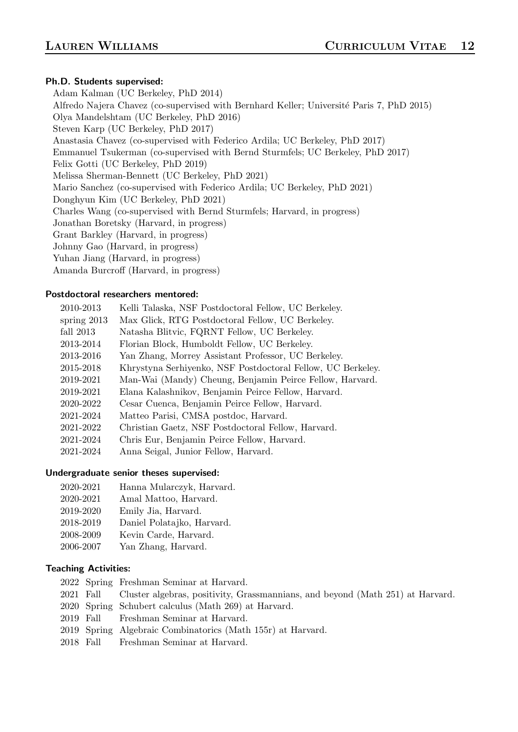# Ph.D. Students supervised:

Adam Kalman (UC Berkeley, PhD 2014) Alfredo Najera Chavez (co-supervised with Bernhard Keller; Université Paris 7, PhD 2015) Olya Mandelshtam (UC Berkeley, PhD 2016) Steven Karp (UC Berkeley, PhD 2017) Anastasia Chavez (co-supervised with Federico Ardila; UC Berkeley, PhD 2017) Emmanuel Tsukerman (co-supervised with Bernd Sturmfels; UC Berkeley, PhD 2017) Felix Gotti (UC Berkeley, PhD 2019) Melissa Sherman-Bennett (UC Berkeley, PhD 2021) Mario Sanchez (co-supervised with Federico Ardila; UC Berkeley, PhD 2021) Donghyun Kim (UC Berkeley, PhD 2021) Charles Wang (co-supervised with Bernd Sturmfels; Harvard, in progress) Jonathan Boretsky (Harvard, in progress) Grant Barkley (Harvard, in progress) Johnny Gao (Harvard, in progress) Yuhan Jiang (Harvard, in progress) Amanda Burcroff (Harvard, in progress)

### Postdoctoral researchers mentored:

| 2010-2013     | Kelli Talaska, NSF Postdoctoral Fellow, UC Berkeley.        |
|---------------|-------------------------------------------------------------|
| spring $2013$ | Max Glick, RTG Postdoctoral Fellow, UC Berkeley.            |
| fall $2013$   | Natasha Blitvic, FQRNT Fellow, UC Berkeley.                 |
| 2013-2014     | Florian Block, Humboldt Fellow, UC Berkeley.                |
| 2013-2016     | Yan Zhang, Morrey Assistant Professor, UC Berkeley.         |
| 2015-2018     | Khrystyna Serhiyenko, NSF Postdoctoral Fellow, UC Berkeley. |
| 2019-2021     | Man-Wai (Mandy) Cheung, Benjamin Peirce Fellow, Harvard.    |
| 2019-2021     | Elana Kalashnikov, Benjamin Peirce Fellow, Harvard.         |
| 2020-2022     | Cesar Cuenca, Benjamin Peirce Fellow, Harvard.              |
| 2021-2024     | Matteo Parisi, CMSA postdoc, Harvard.                       |
| 2021-2022     | Christian Gaetz, NSF Postdoctoral Fellow, Harvard.          |
| 2021-2024     | Chris Eur, Benjamin Peirce Fellow, Harvard.                 |
| 2021-2024     | Anna Seigal, Junior Fellow, Harvard.                        |

### Undergraduate senior theses supervised:

- 2020-2021 Hanna Mularczyk, Harvard.
- 2020-2021 Amal Mattoo, Harvard.
- 2019-2020 Emily Jia, Harvard.
- 2018-2019 Daniel Polatajko, Harvard.
- 2008-2009 Kevin Carde, Harvard.
- 2006-2007 Yan Zhang, Harvard.

# Teaching Activities:

- 2022 Spring Freshman Seminar at Harvard.
- 2021 Fall Cluster algebras, positivity, Grassmannians, and beyond (Math 251) at Harvard.
- 2020 Spring Schubert calculus (Math 269) at Harvard.
- 2019 Fall Freshman Seminar at Harvard.
- 2019 Spring Algebraic Combinatorics (Math 155r) at Harvard.
- 2018 Fall Freshman Seminar at Harvard.